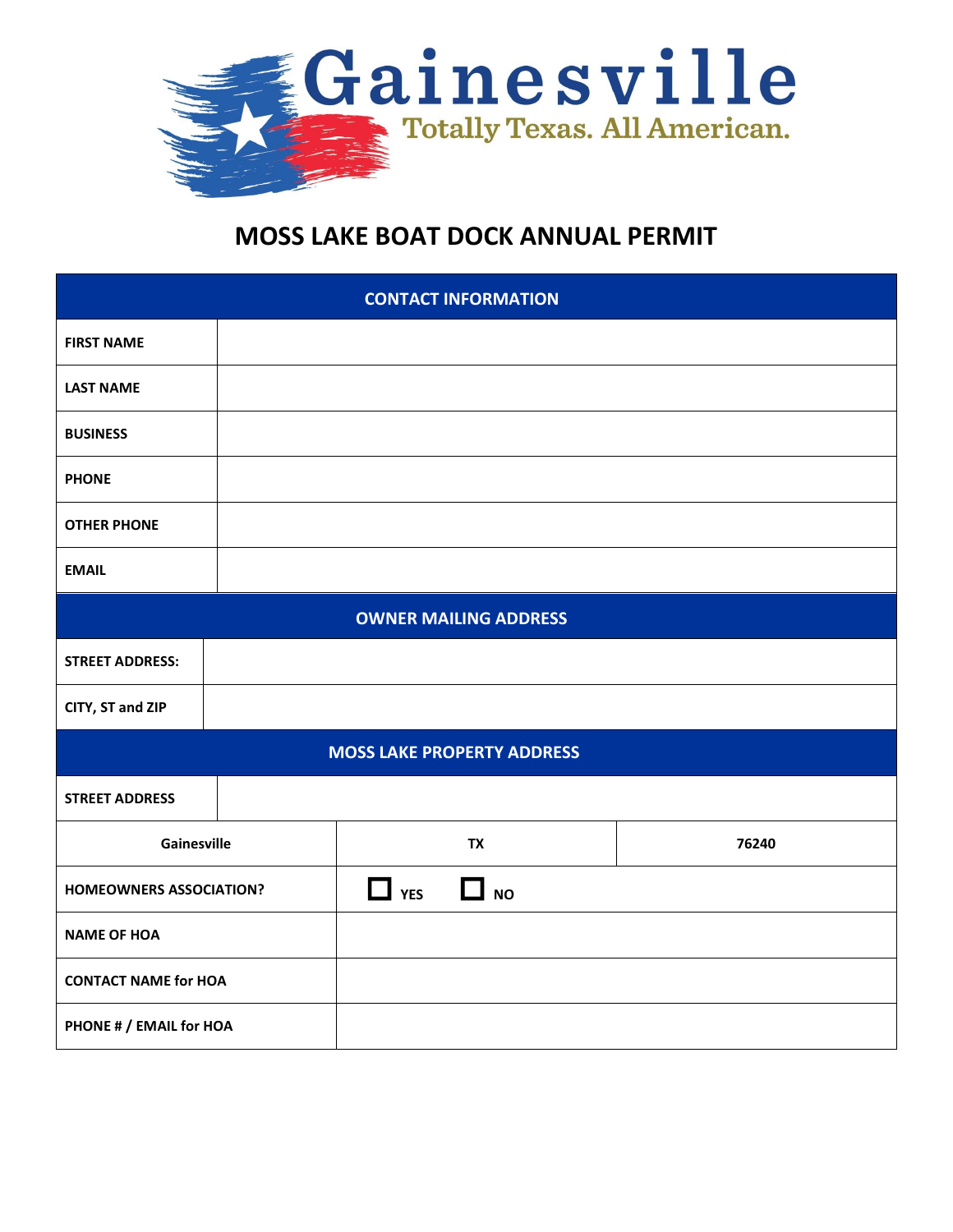

## **MOSS LAKE BOAT DOCK ANNUAL PERMIT**

| <b>CONTACT INFORMATION</b>        |  |                         |       |  |
|-----------------------------------|--|-------------------------|-------|--|
| <b>FIRST NAME</b>                 |  |                         |       |  |
| <b>LAST NAME</b>                  |  |                         |       |  |
| <b>BUSINESS</b>                   |  |                         |       |  |
| <b>PHONE</b>                      |  |                         |       |  |
| <b>OTHER PHONE</b>                |  |                         |       |  |
| <b>EMAIL</b>                      |  |                         |       |  |
| <b>OWNER MAILING ADDRESS</b>      |  |                         |       |  |
| <b>STREET ADDRESS:</b>            |  |                         |       |  |
| CITY, ST and ZIP                  |  |                         |       |  |
| <b>MOSS LAKE PROPERTY ADDRESS</b> |  |                         |       |  |
| <b>STREET ADDRESS</b>             |  |                         |       |  |
| Gainesville                       |  | <b>TX</b>               | 76240 |  |
| <b>HOMEOWNERS ASSOCIATION?</b>    |  | $\Box$ YES<br>$\Box$ NO |       |  |
| <b>NAME OF HOA</b>                |  |                         |       |  |
| <b>CONTACT NAME for HOA</b>       |  |                         |       |  |
| PHONE # / EMAIL for HOA           |  |                         |       |  |